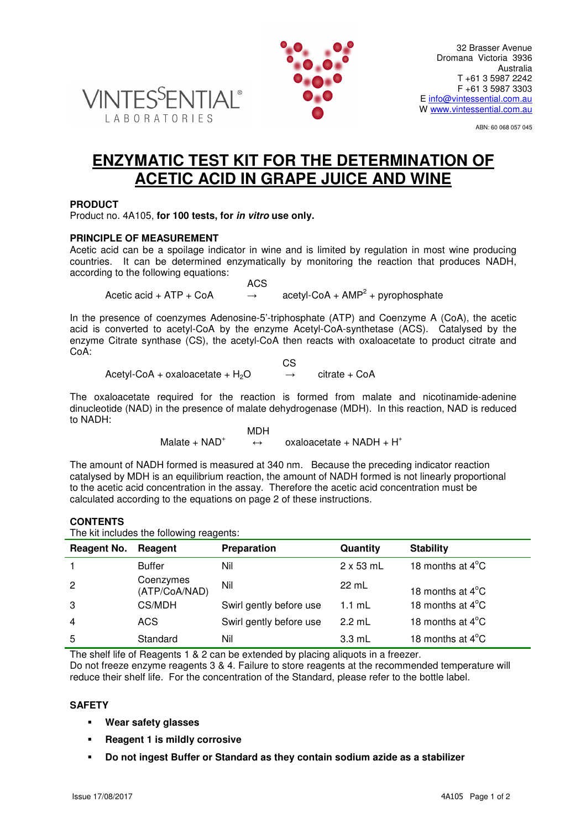



ABN: 60 068 057 045

# **ENZYMATIC TEST KIT FOR THE DETERMINATION OF ACETIC ACID IN GRAPE JUICE AND WINE**

## **PRODUCT**

Product no. 4A105, **for 100 tests, for in vitro use only.**

#### **PRINCIPLE OF MEASUREMENT**

Acetic acid can be a spoilage indicator in wine and is limited by regulation in most wine producing countries. It can be determined enzymatically by monitoring the reaction that produces NADH, according to the following equations:

 ACS Acetic acid + ATP + CoA  $\rightarrow$  $acetyl\text{-}CoA + AMP<sup>2</sup> + pyrophosphate$ 

In the presence of coenzymes Adenosine-5'-triphosphate (ATP) and Coenzyme A (CoA), the acetic acid is converted to acetyl-CoA by the enzyme Acetyl-CoA-synthetase (ACS). Catalysed by the enzyme Citrate synthase (CS), the acetyl-CoA then reacts with oxaloacetate to product citrate and CoA:

$$
CSS
$$
\n
$$
AcetyI-CoA + oxaloacetate + H2O \rightarrow citrate + CoA
$$

The oxaloacetate required for the reaction is formed from malate and nicotinamide-adenine dinucleotide (NAD) in the presence of malate dehydrogenase (MDH). In this reaction, NAD is reduced to NADH:

> MDH Malate  $+$  NAD<sup>+</sup>  $\leftrightarrow$  oxaloacetate + NADH + H<sup>+</sup>

The amount of NADH formed is measured at 340 nm. Because the preceding indicator reaction catalysed by MDH is an equilibrium reaction, the amount of NADH formed is not linearly proportional to the acetic acid concentration in the assay. Therefore the acetic acid concentration must be calculated according to the equations on page 2 of these instructions.

## **CONTENTS**

The kit includes the following reagents:

| Reagent No.    | Reagent                    | Preparation             | Quantity         | <b>Stability</b>           |
|----------------|----------------------------|-------------------------|------------------|----------------------------|
|                | <b>Buffer</b>              | Nil                     | $2 \times 53$ mL | 18 months at $4^{\circ}$ C |
| $\overline{c}$ | Coenzymes<br>(ATP/CoA/NAD) | Nil                     | 22 mL            | 18 months at $4^{\circ}$ C |
| 3              | CS/MDH                     | Swirl gently before use | $1.1 \text{ mL}$ | 18 months at 4°C           |
| $\overline{4}$ | <b>ACS</b>                 | Swirl gently before use | $2.2$ mL         | 18 months at $4^{\circ}$ C |
| 5              | Standard                   | Nil                     | $3.3 \text{ mL}$ | 18 months at $4^{\circ}$ C |

The shelf life of Reagents 1 & 2 can be extended by placing aliquots in a freezer. Do not freeze enzyme reagents 3 & 4. Failure to store reagents at the recommended temperature will reduce their shelf life. For the concentration of the Standard, please refer to the bottle label.

#### **SAFETY**

- **Wear safety glasses**
- **Reagent 1 is mildly corrosive**
- **Do not ingest Buffer or Standard as they contain sodium azide as a stabilizer**